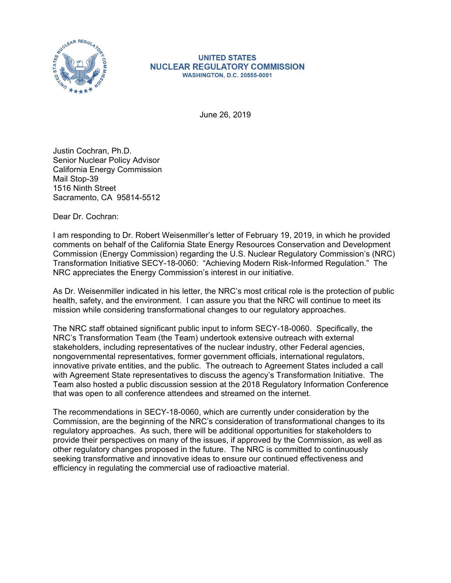

## **UNITED STATES NUCLEAR REGULATORY COMMISSION WASHINGTON, D.C. 20555-0001**

June 26, 2019

Justin Cochran, Ph.D. Senior Nuclear Policy Advisor California Energy Commission Mail Stop-39 1516 Ninth Street Sacramento, CA 95814-5512

Dear Dr. Cochran:

I am responding to Dr. Robert Weisenmiller's letter of February 19, 2019, in which he provided comments on behalf of the California State Energy Resources Conservation and Development Commission (Energy Commission) regarding the U.S. Nuclear Regulatory Commission's (NRC) Transformation Initiative SECY-18-0060: "Achieving Modern Risk-Informed Regulation." The NRC appreciates the Energy Commission's interest in our initiative.

As Dr. Weisenmiller indicated in his letter, the NRC's most critical role is the protection of public health, safety, and the environment. I can assure you that the NRC will continue to meet its mission while considering transformational changes to our regulatory approaches.

The NRC staff obtained significant public input to inform SECY-18-0060. Specifically, the NRC's Transformation Team (the Team) undertook extensive outreach with external stakeholders, including representatives of the nuclear industry, other Federal agencies, nongovernmental representatives, former government officials, international regulators, innovative private entities, and the public. The outreach to Agreement States included a call with Agreement State representatives to discuss the agency's Transformation Initiative. The Team also hosted a public discussion session at the 2018 Regulatory Information Conference that was open to all conference attendees and streamed on the internet.

The recommendations in SECY-18-0060, which are currently under consideration by the Commission, are the beginning of the NRC's consideration of transformational changes to its regulatory approaches. As such, there will be additional opportunities for stakeholders to provide their perspectives on many of the issues, if approved by the Commission, as well as other regulatory changes proposed in the future. The NRC is committed to continuously seeking transformative and innovative ideas to ensure our continued effectiveness and efficiency in regulating the commercial use of radioactive material.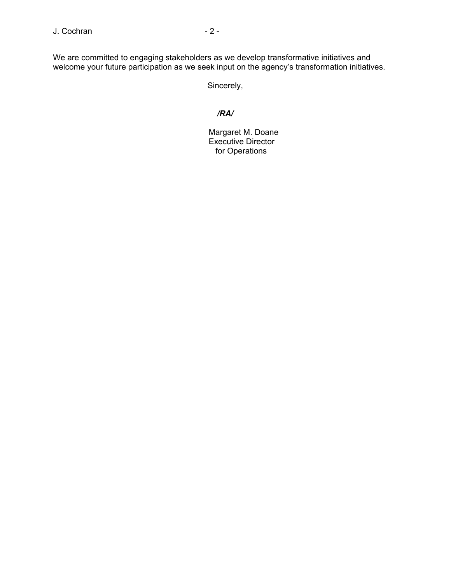We are committed to engaging stakeholders as we develop transformative initiatives and welcome your future participation as we seek input on the agency's transformation initiatives.

Sincerely,

## */RA/*

 Margaret M. Doane Executive Director for Operations